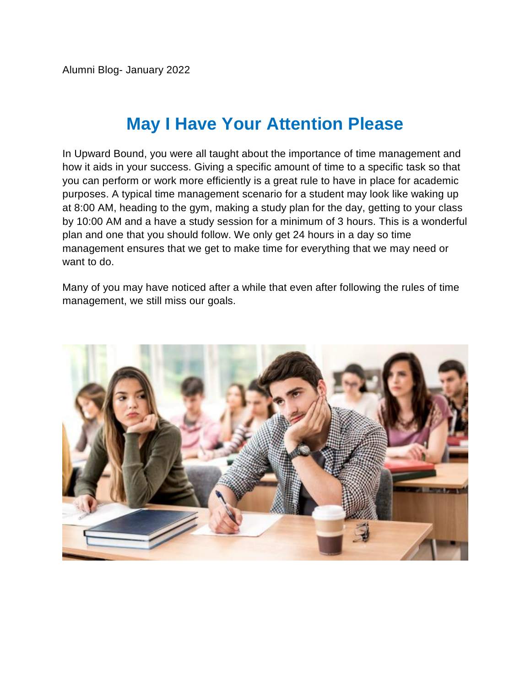Alumni Blog- January 2022

# **May I Have Your Attention Please**

In Upward Bound, you were all taught about the importance of time management and how it aids in your success. Giving a specific amount of time to a specific task so that you can perform or work more efficiently is a great rule to have in place for academic purposes. A typical time management scenario for a student may look like waking up at 8:00 AM, heading to the gym, making a study plan for the day, getting to your class by 10:00 AM and a have a study session for a minimum of 3 hours. This is a wonderful plan and one that you should follow. We only get 24 hours in a day so time management ensures that we get to make time for everything that we may need or want to do.

Many of you may have noticed after a while that even after following the rules of time management, we still miss our goals.

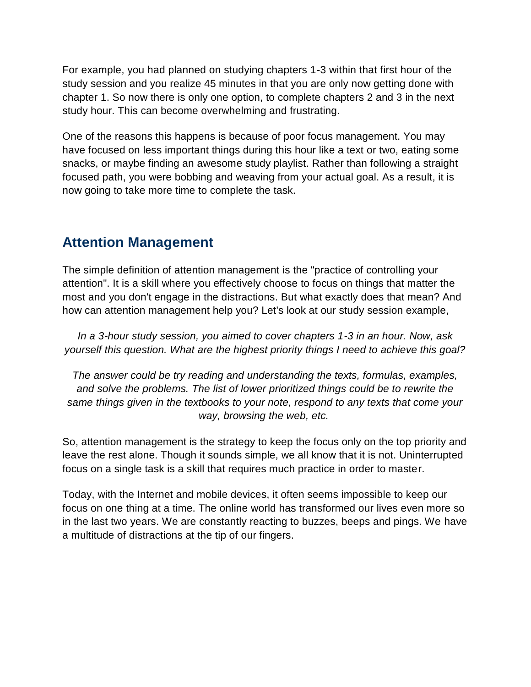For example, you had planned on studying chapters 1-3 within that first hour of the study session and you realize 45 minutes in that you are only now getting done with chapter 1. So now there is only one option, to complete chapters 2 and 3 in the next study hour. This can become overwhelming and frustrating.

One of the reasons this happens is because of poor focus management. You may have focused on less important things during this hour like a text or two, eating some snacks, or maybe finding an awesome study playlist. Rather than following a straight focused path, you were bobbing and weaving from your actual goal. As a result, it is now going to take more time to complete the task.

### **Attention Management**

The simple definition of attention management is the "practice of controlling your attention". It is a skill where you effectively choose to focus on things that matter the most and you don't engage in the distractions. But what exactly does that mean? And how can attention management help you? Let's look at our study session example,

*In a 3-hour study session, you aimed to cover chapters 1-3 in an hour. Now, ask yourself this question. What are the highest priority things I need to achieve this goal?*

*The answer could be try reading and understanding the texts, formulas, examples, and solve the problems. The list of lower prioritized things could be to rewrite the same things given in the textbooks to your note, respond to any texts that come your way, browsing the web, etc.*

So, attention management is the strategy to keep the focus only on the top priority and leave the rest alone. Though it sounds simple, we all know that it is not. Uninterrupted focus on a single task is a skill that requires much practice in order to master.

Today, with the Internet and mobile devices, it often seems impossible to keep our focus on one thing at a time. The online world has transformed our lives even more so in the last two years. We are constantly reacting to buzzes, beeps and pings. We have a multitude of distractions at the tip of our fingers.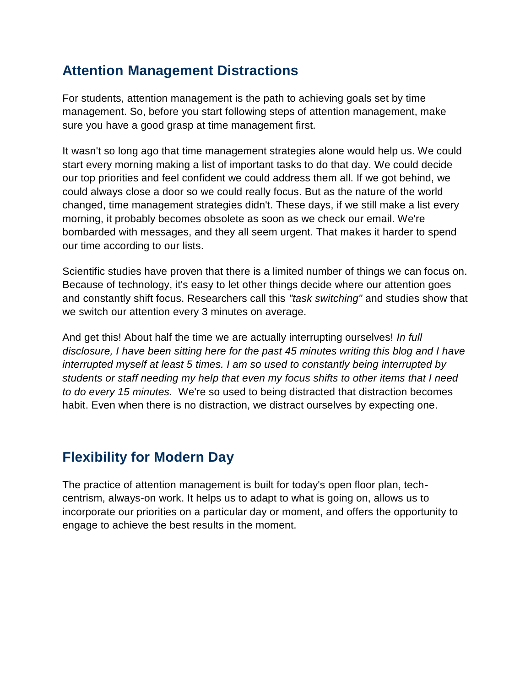### **Attention Management Distractions**

For students, attention management is the path to achieving goals set by time management. So, before you start following steps of attention management, make sure you have a good grasp at time management first.

It wasn't so long ago that time management strategies alone would help us. We could start every morning making a list of important tasks to do that day. We could decide our top priorities and feel confident we could address them all. If we got behind, we could always close a door so we could really focus. But as the nature of the world changed, time management strategies didn't. These days, if we still make a list every morning, it probably becomes obsolete as soon as we check our email. We're bombarded with messages, and they all seem urgent. That makes it harder to spend our time according to our lists.

Scientific studies have proven that there is a limited number of things we can focus on. Because of technology, it's easy to let other things decide where our attention goes and constantly shift focus. Researchers call this *"task switching"* and studies show that we switch our attention every 3 minutes on average.

And get this! About half the time we are actually interrupting ourselves! *In full disclosure, I have been sitting here for the past 45 minutes writing this blog and I have interrupted myself at least 5 times. I am so used to constantly being interrupted by students or staff needing my help that even my focus shifts to other items that I need to do every 15 minutes.* We're so used to being distracted that distraction becomes habit. Even when there is no distraction, we distract ourselves by expecting one.

# **Flexibility for Modern Day**

The practice of attention management is built for today's open floor plan, techcentrism, always-on work. It helps us to adapt to what is going on, allows us to incorporate our priorities on a particular day or moment, and offers the opportunity to engage to achieve the best results in the moment.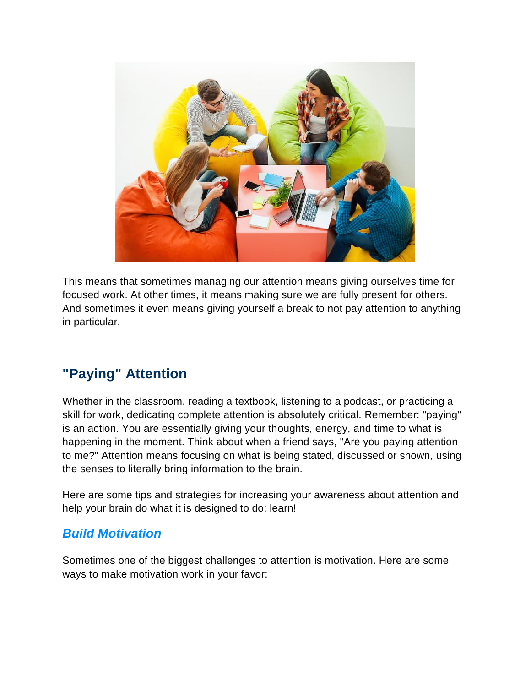

This means that sometimes managing our attention means giving ourselves time for focused work. At other times, it means making sure we are fully present for others. And sometimes it even means giving yourself a break to not pay attention to anything in particular.

# **"Paying" Attention**

Whether in the classroom, reading a textbook, listening to a podcast, or practicing a skill for work, dedicating complete attention is absolutely critical. Remember: "paying" is an action. You are essentially giving your thoughts, energy, and time to what is happening in the moment. Think about when a friend says, "Are you paying attention to me?" Attention means focusing on what is being stated, discussed or shown, using the senses to literally bring information to the brain.

Here are some tips and strategies for increasing your awareness about attention and help your brain do what it is designed to do: learn!

#### *Build Motivation*

Sometimes one of the biggest challenges to attention is motivation. Here are some ways to make motivation work in your favor: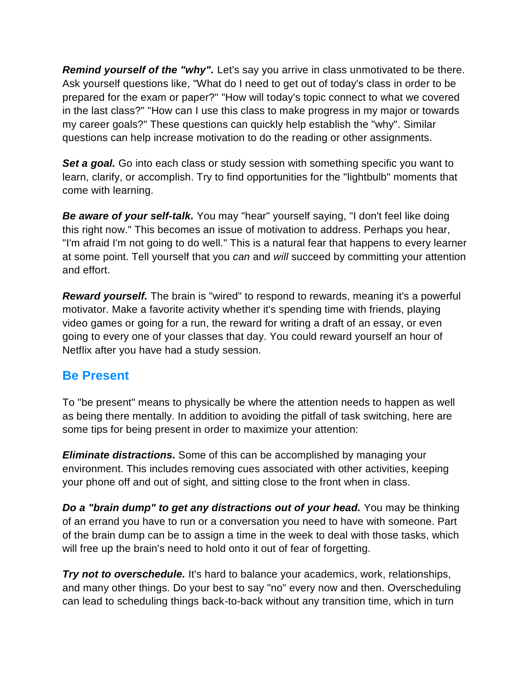*Remind yourself of the "why".* Let's say you arrive in class unmotivated to be there. Ask yourself questions like, "What do I need to get out of today's class in order to be prepared for the exam or paper?" "How will today's topic connect to what we covered in the last class?" "How can I use this class to make progress in my major or towards my career goals?" These questions can quickly help establish the "why". Similar questions can help increase motivation to do the reading or other assignments.

**Set a goal.** Go into each class or study session with something specific you want to learn, clarify, or accomplish. Try to find opportunities for the "lightbulb" moments that come with learning.

*Be aware of your self-talk.* You may "hear" yourself saying, "I don't feel like doing this right now." This becomes an issue of motivation to address. Perhaps you hear, "I'm afraid I'm not going to do well." This is a natural fear that happens to every learner at some point. Tell yourself that you *can* and *will* succeed by committing your attention and effort.

*Reward yourself.* The brain is "wired" to respond to rewards, meaning it's a powerful motivator. Make a favorite activity whether it's spending time with friends, playing video games or going for a run, the reward for writing a draft of an essay, or even going to every one of your classes that day. You could reward yourself an hour of Netflix after you have had a study session.

#### **Be Present**

To "be present" means to physically be where the attention needs to happen as well as being there mentally. In addition to avoiding the pitfall of task switching, here are some tips for being present in order to maximize your attention:

*Eliminate distractions.* Some of this can be accomplished by managing your environment. This includes removing cues associated with other activities, keeping your phone off and out of sight, and sitting close to the front when in class.

*Do a "brain dump" to get any distractions out of your head.* You may be thinking of an errand you have to run or a conversation you need to have with someone. Part of the brain dump can be to assign a time in the week to deal with those tasks, which will free up the brain's need to hold onto it out of fear of forgetting.

*Try not to overschedule.* It's hard to balance your academics, work, relationships, and many other things. Do your best to say "no" every now and then. Overscheduling can lead to scheduling things back-to-back without any transition time, which in turn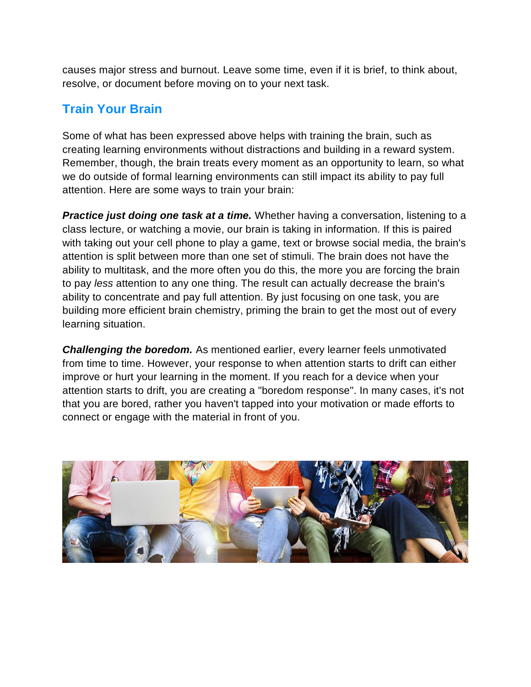causes major stress and burnout. Leave some time, even if it is brief, to think about, resolve, or document before moving on to your next task.

### **Train Your Brain**

Some of what has been expressed above helps with training the brain, such as creating learning environments without distractions and building in a reward system. Remember, though, the brain treats every moment as an opportunity to learn, so what we do outside of formal learning environments can still impact its ability to pay full attention. Here are some ways to train your brain:

*Practice just doing one task at a time.* Whether having a conversation, listening to a class lecture, or watching a movie, our brain is taking in information. If this is paired with taking out your cell phone to play a game, text or browse social media, the brain's attention is split between more than one set of stimuli. The brain does not have the ability to multitask, and the more often you do this, the more you are forcing the brain to pay *less* attention to any one thing. The result can actually decrease the brain's ability to concentrate and pay full attention. By just focusing on one task, you are building more efficient brain chemistry, priming the brain to get the most out of every learning situation.

*Challenging the boredom.* As mentioned earlier, every learner feels unmotivated from time to time. However, your response to when attention starts to drift can either improve or hurt your learning in the moment. If you reach for a device when your attention starts to drift, you are creating a "boredom response". In many cases, it's not that you are bored, rather you haven't tapped into your motivation or made efforts to connect or engage with the material in front of you.